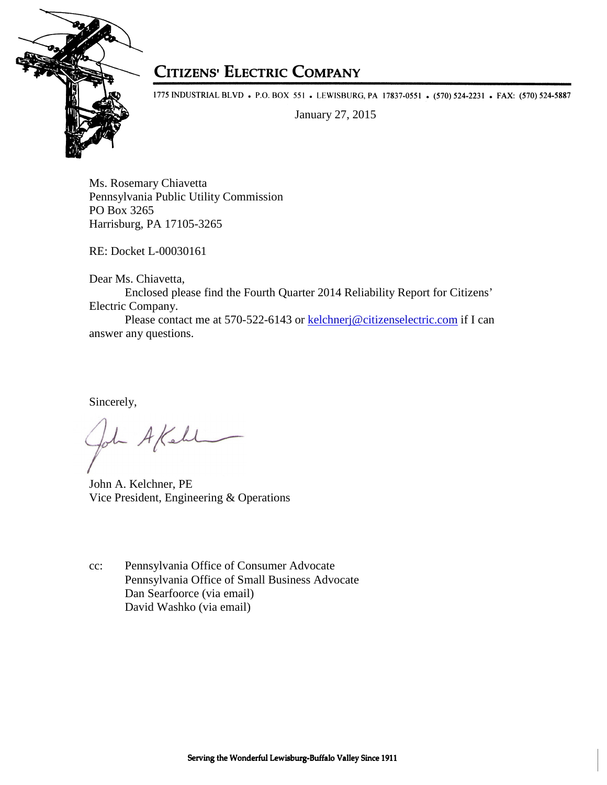

## **CITIZENS' ELECTRIC COMPANY**

1775 INDUSTRIAL BLVD • P.O. BOX 551 • LEWISBURG, PA 17837-0551 • (570) 524-2231 • FAX: (570) 524-5887

January 27, 2015

Ms. Rosemary Chiavetta Pennsylvania Public Utility Commission PO Box 3265 Harrisburg, PA 17105-3265

RE: Docket L-00030161

Dear Ms. Chiavetta,

Enclosed please find the Fourth Quarter 2014 Reliability Report for Citizens' Electric Company.

 Please contact me at 570-522-6143 or kelchnerj@citizenselectric.com if I can answer any questions.

Sincerely,

- A Kell

John A. Kelchner, PE Vice President, Engineering & Operations

cc: Pennsylvania Office of Consumer Advocate Pennsylvania Office of Small Business Advocate Dan Searfoorce (via email) David Washko (via email)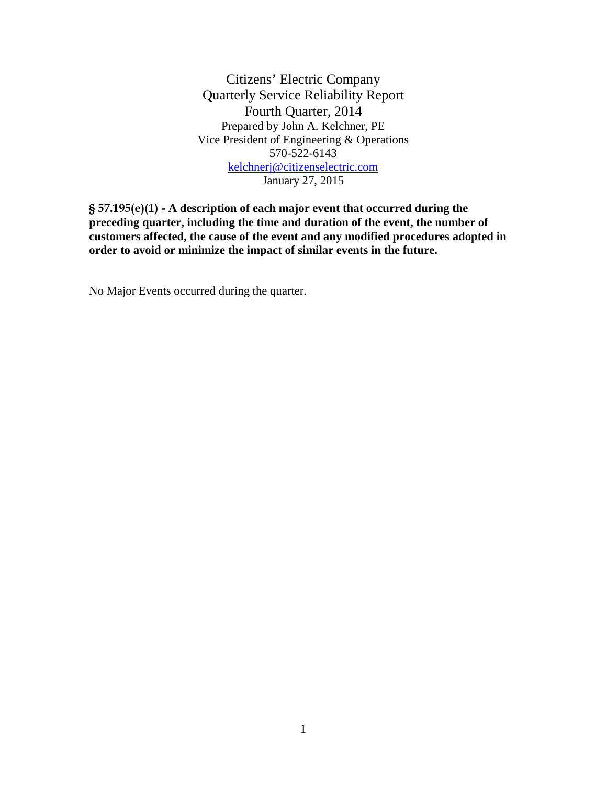Citizens' Electric Company Quarterly Service Reliability Report Fourth Quarter, 2014 Prepared by John A. Kelchner, PE Vice President of Engineering & Operations 570-522-6143 kelchnerj@citizenselectric.com January 27, 2015

§ 57.195(e)(1) - **A description of each major event that occurred during the preceding quarter, including the time and duration of the event, the number of customers affected, the cause of the event and any modified procedures adopted in order to avoid or minimize the impact of similar events in the future.** 

No Major Events occurred during the quarter.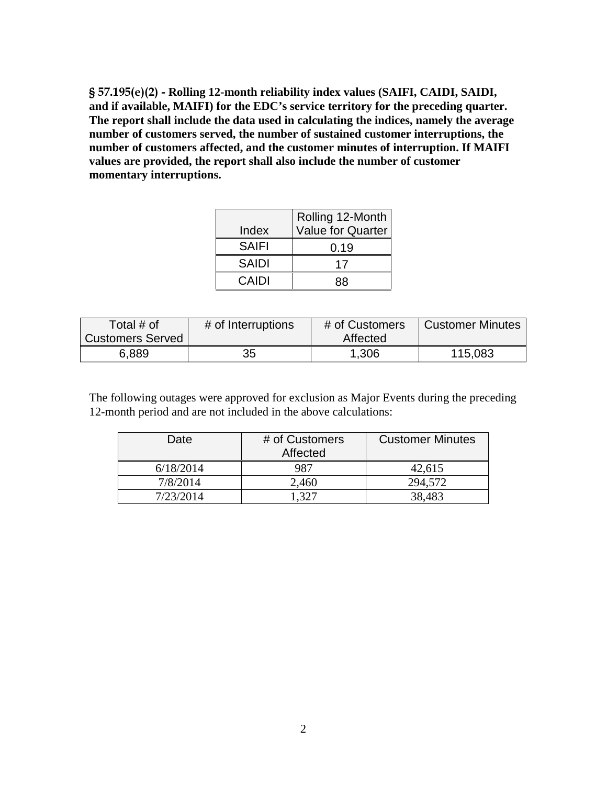§ 57.195(e)(2) - **Rolling 12-month reliability index values (SAIFI, CAIDI, SAIDI, and if available, MAIFI) for the EDC's service territory for the preceding quarter. The report shall include the data used in calculating the indices, namely the average number of customers served, the number of sustained customer interruptions, the number of customers affected, and the customer minutes of interruption. If MAIFI values are provided, the report shall also include the number of customer momentary interruptions.** 

|              | Rolling 12-Month         |
|--------------|--------------------------|
| Index        | <b>Value for Quarter</b> |
| <b>SAIFI</b> | 0.19                     |
| <b>SAIDI</b> | 17                       |
| CAIDI        | 88                       |

| Total $#$ of            | # of Interruptions | # of Customers | <b>Customer Minutes</b> |
|-------------------------|--------------------|----------------|-------------------------|
| <b>Customers Served</b> |                    | Affected       |                         |
| 6,889                   | 35                 | 1,306          | 115,083                 |

The following outages were approved for exclusion as Major Events during the preceding 12-month period and are not included in the above calculations:

| Date      | # of Customers<br>Affected | <b>Customer Minutes</b> |
|-----------|----------------------------|-------------------------|
| 6/18/2014 | 987                        | 42,615                  |
| 7/8/2014  | 2,460                      | 294,572                 |
| 7/23/2014 | - 327                      | 38,483                  |